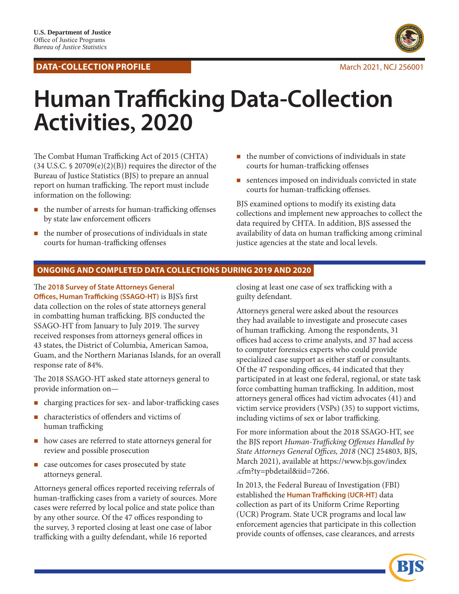## **DATA-COLLECTION PROFILE** March 2021, NCJ 256001



# **Human Trafficking Data-Collection Activities, 2020**

The Combat Human Trafficking Act of 2015 (CHTA)  $(34 \text{ U.S.C. } $20709(e)(2)(B))$  requires the director of the Bureau of Justice Statistics (BJS) to prepare an annual report on human trafficking. The report must include information on the following:

- the number of arrests for human-trafficking offenses by state law enforcement officers
- $\blacksquare$  the number of prosecutions of individuals in state courts for human-trafficking offenses
- $\blacksquare$  the number of convictions of individuals in state courts for human-trafficking offenses
- sentences imposed on individuals convicted in state courts for human-trafficking offenses.

BJS examined options to modify its existing data collections and implement new approaches to collect the data required by CHTA. In addition, BJS assessed the availability of data on human trafficking among criminal justice agencies at the state and local levels.

# **ONGOING AND COMPLETED DATA COLLECTIONS DURING 2019 AND 2020**

The **2018 Survey of State Attorneys General Offices, Human Trafficking (SSAGO-HT)** is BJS's first data collection on the roles of state attorneys general in combatting human trafficking. BJS conducted the SSAGO-HT from January to July 2019. The survey received responses from attorneys general offices in 43 states, the District of Columbia, American Samoa, Guam, and the Northern Marianas Islands, for an overall response rate of 84%.

The 2018 SSAGO-HT asked state attorneys general to provide information on—

- charging practices for sex- and labor-trafficking cases
- characteristics of offenders and victims of human trafficking
- how cases are referred to state attorneys general for review and possible prosecution
- case outcomes for cases prosecuted by state attorneys general.

Attorneys general offices reported receiving referrals of human-trafficking cases from a variety of sources. More cases were referred by local police and state police than by any other source. Of the 47 offices responding to the survey, 3 reported closing at least one case of labor trafficking with a guilty defendant, while 16 reported

closing at least one case of sex trafficking with a guilty defendant.

Attorneys general were asked about the resources they had available to investigate and prosecute cases of human trafficking. Among the respondents, 31 offices had access to crime analysts, and 37 had access to computer forensics experts who could provide specialized case support as either staff or consultants. Of the 47 responding offices, 44 indicated that they participated in at least one federal, regional, or state task force combatting human trafficking. In addition, most attorneys general offices had victim advocates (41) and victim service providers (VSPs) (35) to support victims, including victims of sex or labor trafficking.

For more information about the 2018 SSAGO-HT, see the BJS report *Human-Trafficking Offenses Handled by State Attorneys General Offices, 2018* (NCJ 254803, BJS, March 2021), available at [https://www.bjs.gov/index](https://www.bjs.gov/index.cfm?ty=pbdetail&iid=7266) [.cfm?ty=pbdetail&iid=7266.](https://www.bjs.gov/index.cfm?ty=pbdetail&iid=7266)

In 2013, the Federal Bureau of Investigation (FBI) established the **Human Trafficking (UCR-HT)** data collection as part of its Uniform Crime Reporting (UCR) Program. State UCR programs and local law enforcement agencies that participate in this collection provide counts of offenses, case clearances, and arrests

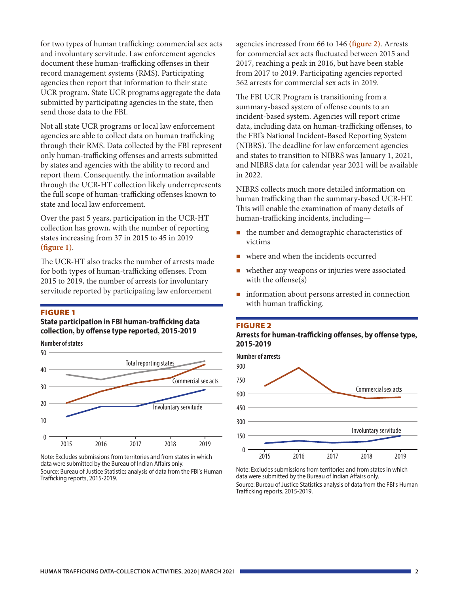for two types of human trafficking: commercial sex acts and involuntary servitude. Law enforcement agencies document these human-trafficking offenses in their record management systems (RMS). Participating agencies then report that information to their state UCR program. State UCR programs aggregate the data submitted by participating agencies in the state, then send those data to the FBI.

Not all state UCR programs or local law enforcement agencies are able to collect data on human trafficking through their RMS. Data collected by the FBI represent only human-trafficking offenses and arrests submitted by states and agencies with the ability to record and report them. Consequently, the information available through the UCR-HT collection likely underrepresents the full scope of human-trafficking offenses known to state and local law enforcement.

Over the past 5 years, participation in the UCR-HT collection has grown, with the number of reporting states increasing from 37 in 2015 to 45 in 2019 **(figure 1)**.

The UCR-HT also tracks the number of arrests made for both types of human-trafficking offenses. From 2015 to 2019, the number of arrests for involuntary servitude reported by participating law enforcement

#### **FIGURE 1**

**State participation in FBI human-trafficking data collection, by offense type reported, 2015-2019**



Note: Excludes submissions from territories and from states in which data were submitted by the Bureau of Indian Affairs only.

Source: Bureau of Justice Statistics analysis of data from the FBI's Human Trafficking reports, 2015-2019.

agencies increased from 66 to 146 **(figure 2)**. Arrests for commercial sex acts fluctuated between 2015 and 2017, reaching a peak in 2016, but have been stable from 2017 to 2019. Participating agencies reported 562 arrests for commercial sex acts in 2019.

The FBI UCR Program is transitioning from a summary-based system of offense counts to an incident-based system. Agencies will report crime data, including data on human-trafficking offenses, to the FBI's National Incident-Based Reporting System (NIBRS). The deadline for law enforcement agencies and states to transition to NIBRS was January 1, 2021, and NIBRS data for calendar year 2021 will be available in 2022.

NIBRS collects much more detailed information on human trafficking than the summary-based UCR-HT. This will enable the examination of many details of human-trafficking incidents, including—

- the number and demographic characteristics of victims
- where and when the incidents occurred
- whether any weapons or injuries were associated with the offense(s)
- **n** information about persons arrested in connection with human trafficking.

#### Figure 2

#### **Arrests for human-trafficking offenses, by offense type, 2015-2019**



Note: Excludes submissions from territories and from states in which data were submitted by the Bureau of Indian Affairs only. Source: Bureau of Justice Statistics analysis of data from the FBI's Human Trafficking reports, 2015-2019.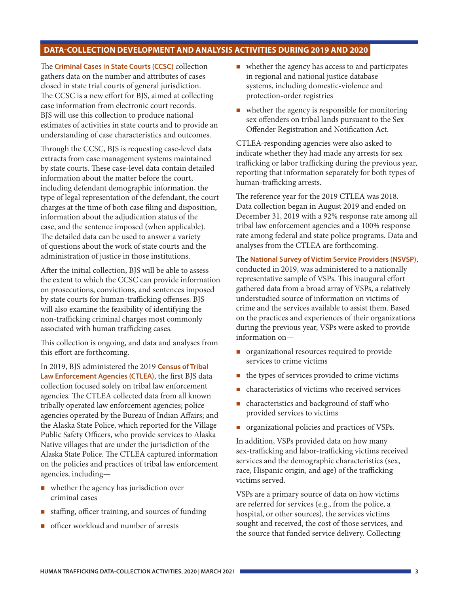# **DATA-COLLECTION DEVELOPMENT AND ANALYSIS ACTIVITIES DURING 2019 AND 2020**

The **Criminal Cases in State Courts (CCSC)** collection gathers data on the number and attributes of cases closed in state trial courts of general jurisdiction. The CCSC is a new effort for BJS, aimed at collecting case information from electronic court records. BJS will use this collection to produce national estimates of activities in state courts and to provide an understanding of case characteristics and outcomes.

Through the CCSC, BJS is requesting case-level data extracts from case management systems maintained by state courts. These case-level data contain detailed information about the matter before the court, including defendant demographic information, the type of legal representation of the defendant, the court charges at the time of both case filing and disposition, information about the adjudication status of the case, and the sentence imposed (when applicable). The detailed data can be used to answer a variety of questions about the work of state courts and the administration of justice in those institutions.

After the initial collection, BJS will be able to assess the extent to which the CCSC can provide information on prosecutions, convictions, and sentences imposed by state courts for human-trafficking offenses. BJS will also examine the feasibility of identifying the non-trafficking criminal charges most commonly associated with human trafficking cases.

This collection is ongoing, and data and analyses from this effort are forthcoming.

In 2019, BJS administered the 2019 **Census of Tribal Law Enforcement Agencies (CTLEA)**, the first BJS data collection focused solely on tribal law enforcement agencies. The CTLEA collected data from all known tribally operated law enforcement agencies; police agencies operated by the Bureau of Indian Affairs; and the Alaska State Police, which reported for the Village Public Safety Officers, who provide services to Alaska Native villages that are under the jurisdiction of the Alaska State Police. The CTLEA captured information on the policies and practices of tribal law enforcement agencies, including—

- whether the agency has jurisdiction over criminal cases
- staffing, officer training, and sources of funding
- **n** officer workload and number of arrests
- $\blacksquare$  whether the agency has access to and participates in regional and national justice database systems, including domestic-violence and protection-order registries
- whether the agency is responsible for monitoring sex offenders on tribal lands pursuant to the Sex Offender Registration and Notification Act.

CTLEA-responding agencies were also asked to indicate whether they had made any arrests for sex trafficking or labor trafficking during the previous year, reporting that information separately for both types of human-trafficking arrests.

The reference year for the 2019 CTLEA was 2018. Data collection began in August 2019 and ended on December 31, 2019 with a 92% response rate among all tribal law enforcement agencies and a 100% response rate among federal and state police programs. Data and analyses from the CTLEA are forthcoming.

The **National Survey of Victim Service Providers (NSVSP)**, conducted in 2019, was administered to a nationally representative sample of VSPs. This inaugural effort gathered data from a broad array of VSPs, a relatively understudied source of information on victims of crime and the services available to assist them. Based on the practices and experiences of their organizations during the previous year, VSPs were asked to provide information on—

- organizational resources required to provide services to crime victims
- $\blacksquare$  the types of services provided to crime victims
- characteristics of victims who received services
- $\blacksquare$  characteristics and background of staff who provided services to victims
- **n** organizational policies and practices of VSPs.

In addition, VSPs provided data on how many sex-trafficking and labor-trafficking victims received services and the demographic characteristics (sex, race, Hispanic origin, and age) of the trafficking victims served.

VSPs are a primary source of data on how victims are referred for services (e.g., from the police, a hospital, or other sources), the services victims sought and received, the cost of those services, and the source that funded service delivery. Collecting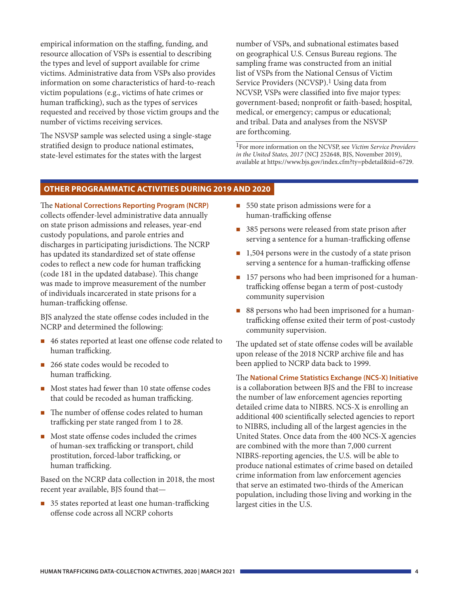empirical information on the staffing, funding, and resource allocation of VSPs is essential to describing the types and level of support available for crime victims. Administrative data from VSPs also provides information on some characteristics of hard-to-reach victim populations (e.g., victims of hate crimes or human trafficking), such as the types of services requested and received by those victim groups and the number of victims receiving services.

The NSVSP sample was selected using a single-stage stratified design to produce national estimates, state-level estimates for the states with the largest

number of VSPs, and subnational estimates based on geographical U.S. Census Bureau regions. The sampling frame was constructed from an initial list of VSPs from the National Census of Victim Service Providers (NCVSP).<sup>1</sup> Using data from NCVSP, VSPs were classified into five major types: government-based; nonprofit or faith-based; hospital, medical, or emergency; campus or educational; and tribal. Data and analyses from the NSVSP are forthcoming.

1For more information on the NCVSP, see *Victim Service Providers in the United States, 2017* (NCJ 252648, BJS, November 2019), available at [https://www.bjs.gov/index.cfm?ty=pbdetail&iid=6729.](https://www.bjs.gov/index.cfm?ty=pbdetail&iid=6729)

## **OTHER PROGRAMMATIC ACTIVITIES DURING 2019 AND 2020**

The **National Corrections Reporting Program (NCRP)** collects offender-level administrative data annually on state prison admissions and releases, year-end custody populations, and parole entries and discharges in participating jurisdictions. The NCRP has updated its standardized set of state offense codes to reflect a new code for human trafficking (code 181 in the updated database). This change was made to improve measurement of the number of individuals incarcerated in state prisons for a human-trafficking offense.

BJS analyzed the state offense codes included in the NCRP and determined the following:

- 46 states reported at least one offense code related to human trafficking.
- 266 state codes would be recoded to human trafficking.
- Most states had fewer than 10 state offense codes that could be recoded as human trafficking.
- The number of offense codes related to human trafficking per state ranged from 1 to 28.
- Most state offense codes included the crimes of human-sex trafficking or transport, child prostitution, forced-labor trafficking, or human trafficking.

Based on the NCRP data collection in 2018, the most recent year available, BJS found that—

35 states reported at least one human-trafficking offense code across all NCRP cohorts

- 550 state prison admissions were for a human-trafficking offense
- 385 persons were released from state prison after serving a sentence for a human-trafficking offense
- $\blacksquare$  1,504 persons were in the custody of a state prison serving a sentence for a human-trafficking offense
- 157 persons who had been imprisoned for a humantrafficking offense began a term of post-custody community supervision
- 88 persons who had been imprisoned for a humantrafficking offense exited their term of post-custody community supervision.

The updated set of state offense codes will be available upon release of the 2018 NCRP archive file and has been applied to NCRP data back to 1999.

The **National Crime Statistics Exchange (NCS-X) Initiative** is a collaboration between BJS and the FBI to increase the number of law enforcement agencies reporting detailed crime data to NIBRS. NCS-X is enrolling an additional 400 scientifically selected agencies to report to NIBRS, including all of the largest agencies in the United States. Once data from the 400 NCS-X agencies are combined with the more than 7,000 current NIBRS-reporting agencies, the U.S. will be able to produce national estimates of crime based on detailed crime information from law enforcement agencies that serve an estimated two-thirds of the American population, including those living and working in the largest cities in the U.S.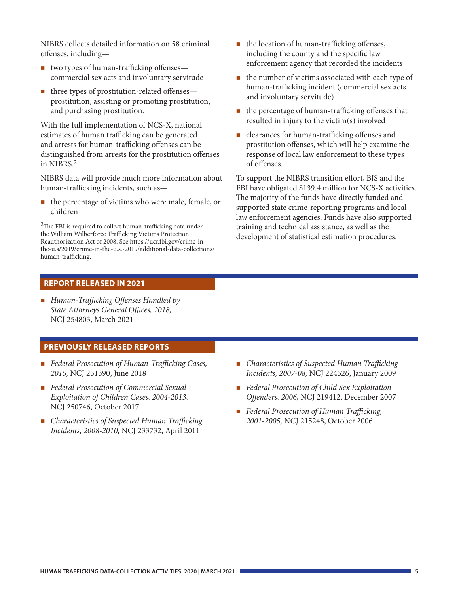NIBRS collects detailed information on 58 criminal offenses, including—

- two types of human-trafficking offenses commercial sex acts and involuntary servitude
- $\blacksquare$  three types of prostitution-related offenses prostitution, assisting or promoting prostitution, and purchasing prostitution.

With the full implementation of NCS-X, national estimates of human trafficking can be generated and arrests for human-trafficking offenses can be distinguished from arrests for the prostitution offenses in NIBRS.2

NIBRS data will provide much more information about human-trafficking incidents, such as—

■ the percentage of victims who were male, female, or children

 $2$ The FBI is required to collect human-trafficking data under the William Wilberforce Trafficking Victims Protection Reauthorization Act of 2008. See [https://ucr.fbi.gov/crime-in](https://ucr.fbi.gov/crime-in-the-u.s/2019/crime-in-the-u.s.-2019/additional-data-collections/human-trafficking)[the-u.s/2019/crime-in-the-u.s.-2019/additional-data-collections/](https://ucr.fbi.gov/crime-in-the-u.s/2019/crime-in-the-u.s.-2019/additional-data-collections/human-trafficking) [human-trafficking.](https://ucr.fbi.gov/crime-in-the-u.s/2019/crime-in-the-u.s.-2019/additional-data-collections/human-trafficking)

- $\blacksquare$  the location of human-trafficking offenses, including the county and the specific law enforcement agency that recorded the incidents
- $\blacksquare$  the number of victims associated with each type of human-trafficking incident (commercial sex acts and involuntary servitude)
- the percentage of human-trafficking offenses that resulted in injury to the victim(s) involved
- clearances for human-trafficking offenses and prostitution offenses, which will help examine the response of local law enforcement to these types of offenses.

To support the NIBRS transition effort, BJS and the FBI have obligated \$139.4 million for NCS-X activities. The majority of the funds have directly funded and supported state crime-reporting programs and local law enforcement agencies. Funds have also supported training and technical assistance, as well as the development of statistical estimation procedures.

## **REPORT RELEASED IN 2021**

 *Human-Trafficking Offenses Handled by State Attorneys General Offices, 2018,*  NCJ 254803, March 2021

## **PREVIOUSLY RELEASED REPORTS**

- *Federal Prosecution of Human-Trafficking Cases, 2015,* NCJ 251390, June 2018
- *Federal Prosecution of Commercial Sexual Exploitation of Children Cases, 2004-2013,* NCJ 250746, October 2017
- *Characteristics of Suspected Human Trafficking Incidents, 2008-2010,* NCJ 233732, April 2011
- *Characteristics of Suspected Human Trafficking Incidents, 2007-08,* NCJ 224526, January 2009
- *Federal Prosecution of Child Sex Exploitation Offenders, 2006,* NCJ 219412, December 2007
- *Federal Prosecution of Human Trafficking, 2001-2005,* NCJ 215248, October 2006